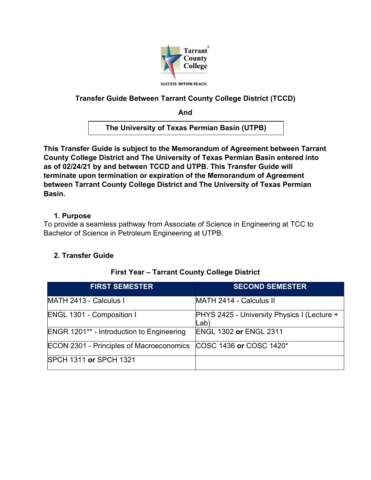

# **Transfer Guide Between Tarrant County College District (TCCD)**

**And**

**The University of Texas Permian Basin (UTPB)**

**This Transfer Guide is subject to the Memorandum of Agreement between Tarrant County College District and The University of Texas Permian Basin entered into as of 02/24/21 by and between TCCD and UTPB. This Transfer Guide will terminate upon termination or expiration of the Memorandum of Agreement between Tarrant County College District and The University of Texas Permian Basin.** 

### **1. Purpose**

To provide a seamless pathway from Associate of Science in Engineering at TCC to Bachelor of Science in Petroleum Engineering at UTPB.

### **2. Transfer Guide**

| <b>FIRST SEMESTER</b>                            | <b>SECOND SEMESTER</b>                                     |
|--------------------------------------------------|------------------------------------------------------------|
| MATH 2413 - Calculus I                           | MATH 2414 - Calculus II                                    |
| <b>ENGL 1301 - Composition I</b>                 | <b>PHYS 2425 - University Physics I (Lecture +</b><br>Lab) |
| <b>ENGR 1201** - Introduction to Engineering</b> | <b>ENGL 1302 or ENGL 2311</b>                              |
| <b>ECON 2301 - Principles of Macroeconomics</b>  | COSC 1436 or COSC 1420*                                    |
| SPCH 1311 or SPCH 1321                           |                                                            |

### **First Year – Tarrant County College District**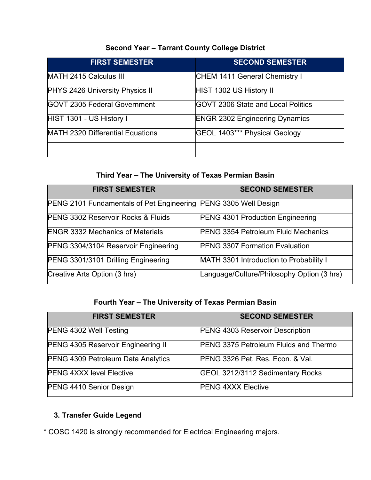# **Second Year – Tarrant County College District**

| <b>FIRST SEMESTER</b>                  | <b>SECOND SEMESTER</b>                     |
|----------------------------------------|--------------------------------------------|
| MATH 2415 Calculus III                 | CHEM 1411 General Chemistry I              |
| <b>PHYS 2426 University Physics II</b> | HIST 1302 US History II                    |
| <b>IGOVT 2305 Federal Government</b>   | <b>IGOVT 2306 State and Local Politics</b> |
| HIST 1301 - US History I               | <b>ENGR 2302 Engineering Dynamics</b>      |
| MATH 2320 Differential Equations       | GEOL 1403*** Physical Geology              |
|                                        |                                            |

# **Third Year – The University of Texas Permian Basin**

| <b>FIRST SEMESTER</b>                                                  | <b>SECOND SEMESTER</b>                     |
|------------------------------------------------------------------------|--------------------------------------------|
| <b>PENG 2101 Fundamentals of Pet Engineering PENG 3305 Well Design</b> |                                            |
| <b>PENG 3302 Reservoir Rocks &amp; Fluids</b>                          | <b>PENG 4301 Production Engineering</b>    |
| <b>ENGR 3332 Mechanics of Materials</b>                                | <b>PENG 3354 Petroleum Fluid Mechanics</b> |
| PENG 3304/3104 Reservoir Engineering                                   | <b>PENG 3307 Formation Evaluation</b>      |
| PENG 3301/3101 Drilling Engineering                                    | MATH 3301 Introduction to Probability I    |
| Creative Arts Option (3 hrs)                                           | Language/Culture/Philosophy Option (3 hrs) |

# **Fourth Year – The University of Texas Permian Basin**

| <b>FIRST SEMESTER</b>                     | <b>SECOND SEMESTER</b>                       |
|-------------------------------------------|----------------------------------------------|
| PENG 4302 Well Testing                    | <b>PENG 4303 Reservoir Description</b>       |
| PENG 4305 Reservoir Engineering II        | <b>PENG 3375 Petroleum Fluids and Thermo</b> |
| <b>PENG 4309 Petroleum Data Analytics</b> | PENG 3326 Pet. Res. Econ. & Val.             |
| <b>PENG 4XXX level Elective</b>           | GEOL 3212/3112 Sedimentary Rocks             |
| PENG 4410 Senior Design                   | <b>PENG 4XXX Elective</b>                    |

# **3. Transfer Guide Legend**

\* COSC 1420 is strongly recommended for Electrical Engineering majors.